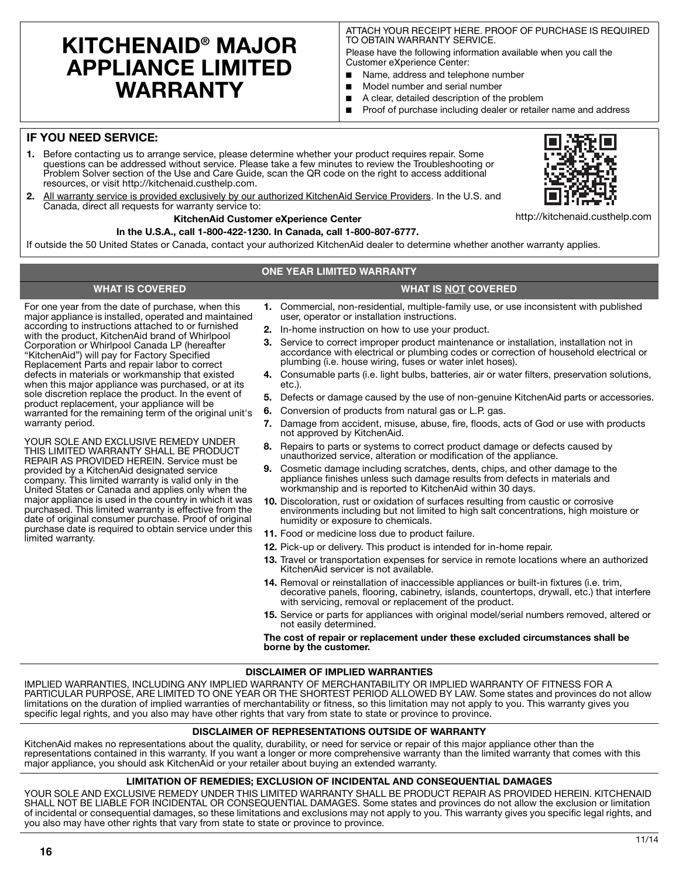# **KITCHENAID® MAJOR APPLIANCE LIMITED WARRANTY**

ATTACH YOUR RECEIPT HERE. PROOF OF PURCHASE IS REQUIRED TO OBTAIN WARRANTY SERVICE.

Please have the following information available when you call the Customer eXperience Center:

- Name, address and telephone number
- Model number and serial number
- A clear, detailed description of the problem
- Proof of purchase including dealer or retailer name and address

# **IF YOU NEED SERVICE:**

- **1.** Before contacting us to arrange service, please determine whether your product requires repair. Some questions can be addressed without service. Please take a few minutes to review the Troubleshooting or Problem Solver section of the Use and Care Guide, scan the QR code on the right to access additional resources, or visit http://kitchenaid.custhelp.com.
- **2.** All warranty service is provided exclusively by our authorized KitchenAid Service Providers. In the U.S. and Canada, direct all requests for warranty service to:

#### **KitchenAid Customer eXperience Center**

#### **In the U.S.A., call 1-800-422-1230. In Canada, call 1-800-807-6777.**

If outside the 50 United States or Canada, contact your authorized KitchenAid dealer to determine whether another warranty applies.

# **ONE YEAR LIMITED WARRANTY**

#### **WHAT IS COVERED WHAT IS NOT COVERED**

For one year from the date of purchase, when this major appliance is installed, operated and maintained according to instructions attached to or furnished with the product, KitchenAid brand of Whirlpool Corporation or Whirlpool Canada LP (hereafter "KitchenAid") will pay for Factory Specified Replacement Parts and repair labor to correct defects in materials or workmanship that existed when this major appliance was purchased, or at its sole discretion replace the product. In the event of product replacement, your appliance will be warranted for the remaining term of the original unit's warranty period.

YOUR SOLE AND EXCLUSIVE REMEDY UNDER THIS LIMITED WARRANTY SHALL BE PRODUCT REPAIR AS PROVIDED HEREIN. Service must be provided by a KitchenAid designated service company. This limited warranty is valid only in the United States or Canada and applies only when the major appliance is used in the country in which it was purchased. This limited warranty is effective from the date of original consumer purchase. Proof of original purchase date is required to obtain service under this limited warranty.

- **1.** Commercial, non-residential, multiple-family use, or use inconsistent with published user, operator or installation instructions.
- **2.** In-home instruction on how to use your product.
- **3.** Service to correct improper product maintenance or installation, installation not in accordance with electrical or plumbing codes or correction of household electrical or plumbing (i.e. house wiring, fuses or water inlet hoses).
- **4.** Consumable parts (i.e. light bulbs, batteries, air or water filters, preservation solutions, etc.).
- **5.** Defects or damage caused by the use of non-genuine KitchenAid parts or accessories.
- **6.** Conversion of products from natural gas or L.P. gas.
- **7.** Damage from accident, misuse, abuse, fire, floods, acts of God or use with products not approved by KitchenAid.
- **8.** Repairs to parts or systems to correct product damage or defects caused by unauthorized service, alteration or modification of the appliance.
- **9.** Cosmetic damage including scratches, dents, chips, and other damage to the appliance finishes unless such damage results from defects in materials and workmanship and is reported to KitchenAid within 30 days.
- **10.** Discoloration, rust or oxidation of surfaces resulting from caustic or corrosive environments including but not limited to high salt concentrations, high moisture or humidity or exposure to chemicals.
- **11.** Food or medicine loss due to product failure.
- **12.** Pick-up or delivery. This product is intended for in-home repair.
- **13.** Travel or transportation expenses for service in remote locations where an authorized KitchenAid servicer is not available.
- **14.** Removal or reinstallation of inaccessible appliances or built-in fixtures (i.e. trim, decorative panels, flooring, cabinetry, islands, countertops, drywall, etc.) that interfere with servicing, removal or replacement of the product.
- **15.** Service or parts for appliances with original model/serial numbers removed, altered or not easily determined.

#### **The cost of repair or replacement under these excluded circumstances shall be borne by the customer.**

#### **DISCLAIMER OF IMPLIED WARRANTIES**

IMPLIED WARRANTIES, INCLUDING ANY IMPLIED WARRANTY OF MERCHANTABILITY OR IMPLIED WARRANTY OF FITNESS FOR A PARTICULAR PURPOSE, ARE LIMITED TO ONE YEAR OR THE SHORTEST PERIOD ALLOWED BY LAW. Some states and provinces do not allow limitations on the duration of implied warranties of merchantability or fitness, so this limitation may not apply to you. This warranty gives you specific legal rights, and you also may have other rights that vary from state to state or province to province.

#### **DISCLAIMER OF REPRESENTATIONS OUTSIDE OF WARRANTY**

KitchenAid makes no representations about the quality, durability, or need for service or repair of this major appliance other than the representations contained in this warranty. If you want a longer or more comprehensive warranty than the limited warranty that comes with this major appliance, you should ask KitchenAid or your retailer about buying an extended warranty.

#### **LIMITATION OF REMEDIES; EXCLUSION OF INCIDENTAL AND CONSEQUENTIAL DAMAGES**

YOUR SOLE AND EXCLUSIVE REMEDY UNDER THIS LIMITED WARRANTY SHALL BE PRODUCT REPAIR AS PROVIDED HEREIN. KITCHENAID SHALL NOT BE LIABLE FOR INCIDENTAL OR CONSEQUENTIAL DAMAGES. Some states and provinces do not allow the exclusion or limitation of incidental or consequential damages, so these limitations and exclusions may not apply to you. This warranty gives you specific legal rights, and you also may have other rights that vary from state to state or province to province.





http://kitchenaid.custhelp.com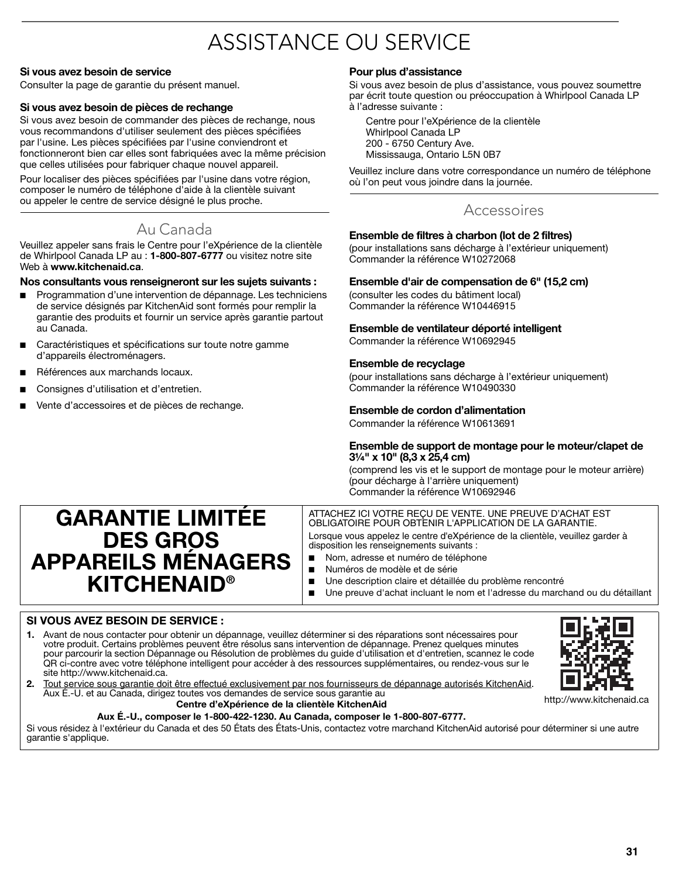# ASSISTANCE OU SERVICE

# **Si vous avez besoin de service**

Consulter la page de garantie du présent manuel.

# **Si vous avez besoin de pièces de rechange**

Si vous avez besoin de commander des pièces de rechange, nous vous recommandons d'utiliser seulement des pièces spécifiées par l'usine. Les pièces spécifiées par l'usine conviendront et fonctionneront bien car elles sont fabriquées avec la même précision que celles utilisées pour fabriquer chaque nouvel appareil.

Pour localiser des pièces spécifiées par l'usine dans votre région, composer le numéro de téléphone d'aide à la clientèle suivant ou appeler le centre de service désigné le plus proche.

# Au Canada

Veuillez appeler sans frais le Centre pour l'eXpérience de la clientèle de Whirlpool Canada LP au : **1-800-807-6777** ou visitez notre site Web à **www.kitchenaid.ca**.

# **Nos consultants vous renseigneront sur les sujets suivants :**

- Programmation d'une intervention de dépannage. Les techniciens de service désignés par KitchenAid sont formés pour remplir la garantie des produits et fournir un service après garantie partout au Canada.
- Caractéristiques et spécifications sur toute notre gamme d'appareils électroménagers.
- Références aux marchands locaux.
- Consignes d'utilisation et d'entretien.
- Vente d'accessoires et de pièces de rechange.

# **Pour plus d'assistance**

Si vous avez besoin de plus d'assistance, vous pouvez soumettre par écrit toute question ou préoccupation à Whirlpool Canada LP à l'adresse suivante :

Centre pour l'eXpérience de la clientèle Whirlpool Canada LP 200 - 6750 Century Ave. Mississauga, Ontario L5N 0B7

Veuillez inclure dans votre correspondance un numéro de téléphone où l'on peut vous joindre dans la journée.

# Accessoires

# **Ensemble de filtres à charbon (lot de 2 filtres)**

(pour installations sans décharge à l'extérieur uniquement) Commander la référence W10272068

# **Ensemble d'air de compensation de 6" (15,2 cm)**

(consulter les codes du bâtiment local) Commander la référence W10446915

# **Ensemble de ventilateur déporté intelligent**

Commander la référence W10692945

# **Ensemble de recyclage**

(pour installations sans décharge à l'extérieur uniquement) Commander la référence W10490330

# **Ensemble de cordon d'alimentation**

Commander la référence W10613691

#### **Ensemble de support de montage pour le moteur/clapet de 3¼" x 10" (8,3 x 25,4 cm)**

(comprend les vis et le support de montage pour le moteur arrière) (pour décharge à l'arrière uniquement) Commander la référence W10692946

# **GARANTIE LIMITÉE DES GROS APPAREILS MÉNAGERS KITCHENAID®**

ATTACHEZ ICI VOTRE REÇU DE VENTE. UNE PREUVE D'ACHAT EST OBLIGATOIRE POUR OBTENIR L'APPLICATION DE LA GARANTIE.

Lorsque vous appelez le centre d'eXpérience de la clientèle, veuillez garder à disposition les renseignements suivants :

- Nom, adresse et numéro de téléphone
- Numéros de modèle et de série
- Une description claire et détaillée du problème rencontré
- Une preuve d'achat incluant le nom et l'adresse du marchand ou du détaillant

# **SI VOUS AVEZ BESOIN DE SERVICE :**

**1.** Avant de nous contacter pour obtenir un dépannage, veuillez déterminer si des réparations sont nécessaires pour votre produit. Certains problèmes peuvent être résolus sans intervention de dépannage. Prenez quelques minutes pour parcourir la section Dépannage ou Résolution de problèmes du guide d'utilisation et d'entretien, scannez le code QR ci-contre avec votre téléphone intelligent pour accéder à des ressources supplémentaires, ou rendez-vous sur le site http://www.kitchenaid.ca. **2.** Tout service sous garantie doit être effectué exclusivement par nos fournisseurs de dépannage autorisés KitchenAid.



http://www.kitchenaid.ca

#### **Centre d'eXpérience de la clientèle KitchenAid Aux É.-U., composer le 1-800-422-1230. Au Canada, composer le 1-800-807-6777.**

Aux É.-U. et au Canada, dirigez toutes vos demandes de service sous garantie au

Si vous résidez à l'extérieur du Canada et des 50 États des États-Unis, contactez votre marchand KitchenAid autorisé pour déterminer si une autre garantie s'applique.